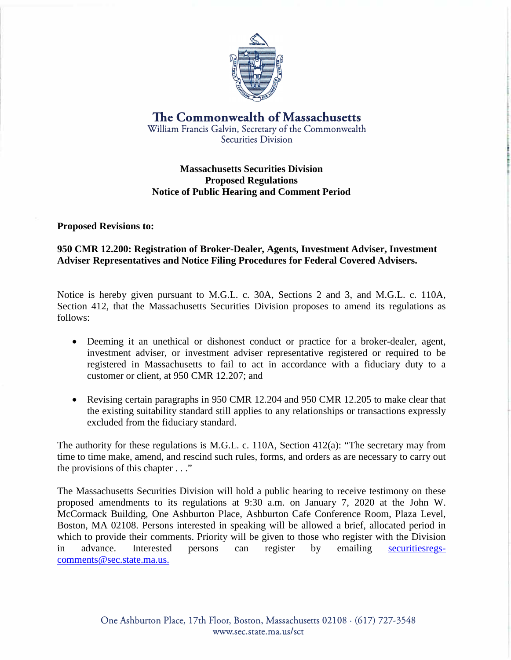

**The Commonwealth of Massachusetts**  William Francis Galvin, Secretary of the Commonwealth Securities Division

## **Massachusetts Securities Division Proposed Regulations Notice of Public Hearing and Comment Period**

**Proposed Revisions to:** 

## **950 CMR 12.200: Registration of Broker-Dealer, Agents, Investment Adviser, Investment Adviser Representatives and Notice Filing Procedures for Federal Covered Advisers.**

Notice is hereby given pursuant to M.G.L. c. 30A, Sections 2 and 3, and M.G.L. c. 110A, Section 412, that the Massachusetts Securities Division proposes to amend its regulations as follows:

- Deeming it an unethical or dishonest conduct or practice for a broker-dealer, agent, investment adviser, or investment adviser representative registered or required to be registered in Massachusetts to fail to act in accordance with a fiduciary duty to a customer or client, at 950 CMR 12.207; and
- Revising certain paragraphs in 950 CMR 12.204 and 950 CMR 12.205 to make clear that the existing suitability standard still applies to any relationships or transactions expressly excluded from the fiduciary standard.

The authority for these regulations is M.G.L. c. 110A, Section 412(a): "The secretary may from time to time make, amend, and rescind such rules, forms, and orders as are necessary to carry out the provisions of this chapter . . ."

The Massachusetts Securities Division will hold a public hearing to receive testimony on these proposed amendments to its regulations at 9:30 a.m. on January 7, 2020 at the John W. McCormack Building, One Ashburton Place, Ashburton Cafe Conference Room, Plaza Level, Boston, MA 02108. Persons interested in speaking will be allowed a brief, allocated period in which to provide their comments. Priority will be given to those who register with the Division in advance. Interested persons can register by emailing securitiesregscomments@sec.state.ma.us.